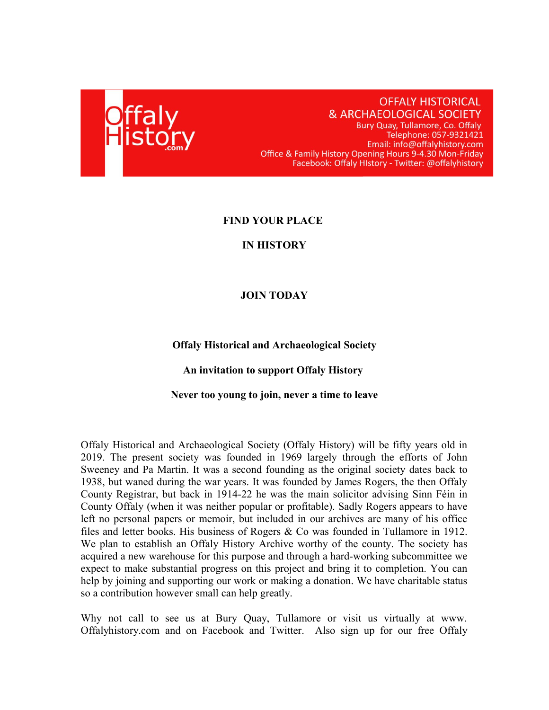

# **OFFALY HISTORICAL** & ARCHAEOLOGICAL SOCIETY

Bury Quay, Tullamore, Co. Offaly Telephone: 057-9321421 Email: info@offalyhistory.com Office & Family History Opening Hours 9-4.30 Mon-Friday Facebook: Offaly HIstory - Twitter: @offalyhistory

### **FIND YOUR PLACE**

#### **IN HISTORY**

### **JOIN TODAY**

**Offaly Historical and Archaeological Society**

#### **An invitation to support Offaly History**

#### **Never too young to join, never a time to leave**

Offaly Historical and Archaeological Society (Offaly History) will be fifty years old in 2019. The present society was founded in 1969 largely through the efforts of John Sweeney and Pa Martin. It was a second founding as the original society dates back to 1938, but waned during the war years. It was founded by James Rogers, the then Offaly County Registrar, but back in 1914-22 he was the main solicitor advising Sinn Féin in County Offaly (when it was neither popular or profitable). Sadly Rogers appears to have left no personal papers or memoir, but included in our archives are many of his office files and letter books. His business of Rogers & Co was founded in Tullamore in 1912. We plan to establish an Offaly History Archive worthy of the county. The society has acquired a new warehouse for this purpose and through a hard-working subcommittee we expect to make substantial progress on this project and bring it to completion. You can help by joining and supporting our work or making a donation. We have charitable status so a contribution however small can help greatly.

Why not call to see us at Bury Quay, Tullamore or visit us virtually at www. Offalyhistory.com and on Facebook and Twitter. Also sign up for our free Offaly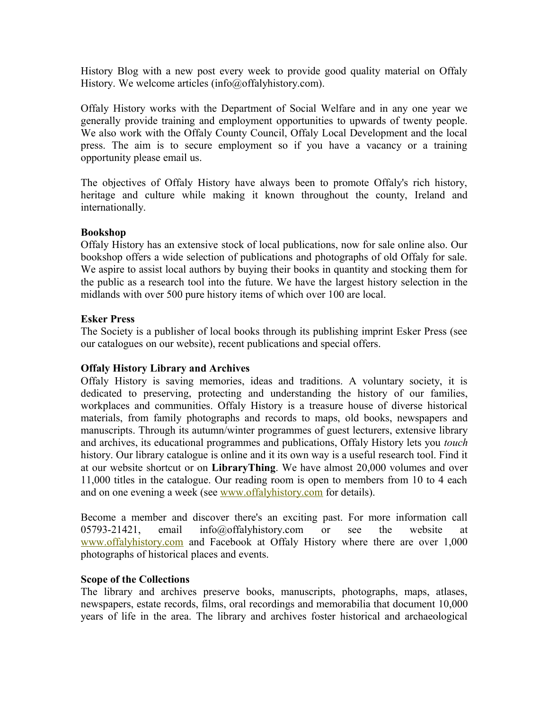History Blog with a new post every week to provide good quality material on Offaly History. We welcome articles (info@offalyhistory.com).

Offaly History works with the Department of Social Welfare and in any one year we generally provide training and employment opportunities to upwards of twenty people. We also work with the Offaly County Council, Offaly Local Development and the local press. The aim is to secure employment so if you have a vacancy or a training opportunity please email us.

The objectives of Offaly History have always been to promote Offaly's rich history, heritage and culture while making it known throughout the county, Ireland and internationally.

### **Bookshop**

Offaly History has an extensive stock of local publications, now for sale online also. Our bookshop offers a wide selection of publications and photographs of old Offaly for sale. We aspire to assist local authors by buying their books in quantity and stocking them for the public as a research tool into the future. We have the largest history selection in the midlands with over 500 pure history items of which over 100 are local.

# **Esker Press**

The Society is a publisher of local books through its publishing imprint Esker Press (see our catalogues on our website), recent publications and special offers.

# **Offaly History Library and Archives**

Offaly History is saving memories, ideas and traditions. A voluntary society, it is dedicated to preserving, protecting and understanding the history of our families, workplaces and communities. Offaly History is a treasure house of diverse historical materials, from family photographs and records to maps, old books, newspapers and manuscripts. Through its autumn/winter programmes of guest lecturers, extensive library and archives, its educational programmes and publications, Offaly History lets you *touch* history. Our library catalogue is online and it its own way is a useful research tool. Find it at our website shortcut or on **LibraryThing**. We have almost 20,000 volumes and over 11,000 titles in the catalogue. Our reading room is open to members from 10 to 4 each and on one evening a week (see [www.offalyhistory.com](http://www.offalyhistory.com/) for details).

Become a member and discover there's an exciting past. For more information call 05793-21421, email info@offalyhistory.com or see the website at [www.offalyhistory.com](http://www.offalyhistory.com/) and Facebook at Offaly History where there are over 1,000 photographs of historical places and events.

### **Scope of the Collections**

The library and archives preserve books, manuscripts, photographs, maps, atlases, newspapers, estate records, films, oral recordings and memorabilia that document 10,000 years of life in the area. The library and archives foster historical and archaeological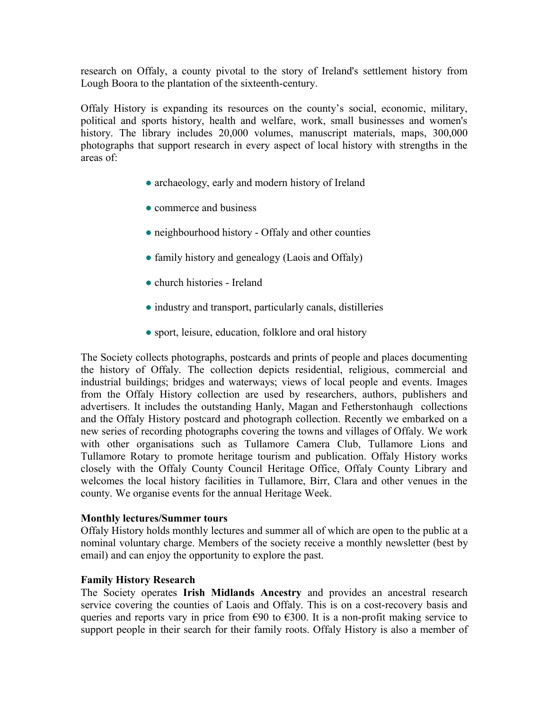research on Offaly, a county pivotal to the story of Ireland's settlement history from Lough Boora to the plantation of the sixteenth-century.

Offaly History is expanding its resources on the county's social, economic, military, political and sports history, health and welfare, work, small businesses and women's history. The library includes 20,000 volumes, manuscript materials, maps, 300,000 photographs that support research in every aspect of local history with strengths in the areas of:

- archaeology, early and modern history of Ireland
- commerce and business
- neighbourhood history Offaly and other counties
- family history and genealogy (Laois and Offaly)
- church histories Ireland
- industry and transport, particularly canals, distilleries
- sport, leisure, education, folklore and oral history

The Society collects photographs, postcards and prints of people and places documenting the history of Offaly. The collection depicts residential, religious, commercial and industrial buildings; bridges and waterways; views of local people and events. Images from the Offaly History collection are used by researchers, authors, publishers and advertisers. It includes the outstanding Hanly, Magan and Fetherstonhaugh collections and the Offaly History postcard and photograph collection. Recently we embarked on a new series of recording photographs covering the towns and villages of Offaly. We work with other organisations such as Tullamore Camera Club, Tullamore Lions and Tullamore Rotary to promote heritage tourism and publication. Offaly History works closely with the Offaly County Council Heritage Office, Offaly County Library and welcomes the local history facilities in Tullamore, Birr, Clara and other venues in the county. We organise events for the annual Heritage Week.

### **Monthly lectures/Summer tours**

Offaly History holds monthly lectures and summer all of which are open to the public at a nominal voluntary charge. Members of the society receive a monthly [newsletter](http://ireland.iol.ie/~ohas/page6.html) (best by email) and can enjoy the opportunity to explore the past.

### **Family History Research**

The Society operates **Irish Midlands Ancestry** and provides an ancestral research service covering the counties of Laois and Offaly. This is on a cost-recovery basis and queries and reports vary in price from  $\epsilon$ 90 to  $\epsilon$ 300. It is a non-profit making service to support people in their search for their family roots. Offaly History is also a member of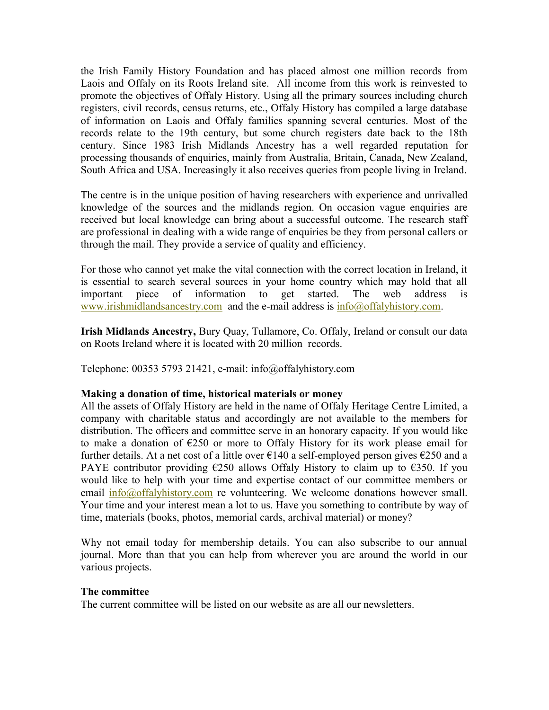the Irish Family History Foundation and has placed almost one million records from Laois and Offaly on its Roots Ireland site. All income from this work is reinvested to promote the objectives of Offaly History. Using all the primary sources including church registers, civil records, census returns, etc., Offaly History has compiled a large database of information on Laois and Offaly families spanning several centuries. Most of the records relate to the 19th century, but some church registers date back to the 18th century. Since 1983 Irish Midlands Ancestry has a well regarded reputation for processing thousands of enquiries, mainly from Australia, Britain, Canada, New Zealand, South Africa and USA. Increasingly it also receives queries from people living in Ireland.

The centre is in the unique position of having researchers with experience and unrivalled knowledge of the sources and the midlands region. On occasion vague enquiries are received but local knowledge can bring about a successful outcome. The research staff are professional in dealing with a wide range of enquiries be they from personal callers or through the mail. They provide a service of quality and efficiency.

For those who cannot yet make the vital connection with the correct location in Ireland, it is essential to search several sources in your home country which may hold that all important piece of information to get started. The web address is [www.irishmidlandsancestry.com](http://www.irishmidlandsancestry.com/) and the e-mail address is [info@offalyhistory.com.](mailto:info@offalyhistory.com)

**Irish Midlands Ancestry,** Bury Quay, Tullamore, Co. Offaly, Ireland or consult our data on Roots Ireland where it is located with 20 million records.

Telephone: 00353 5793 21421, e-mail: info@offalyhistory.com

### **Making a donation of time, historical materials or money**

All the assets of Offaly History are held in the name of Offaly Heritage Centre Limited, a company with charitable status and accordingly are not available to the members for distribution. The officers and committee serve in an honorary capacity. If you would like to make a donation of  $E250$  or more to Offaly History for its work please email for further details. At a net cost of a little over  $\epsilon$ 140 a self-employed person gives  $\epsilon$ 250 and a PAYE contributor providing  $\epsilon$ 250 allows Offaly History to claim up to  $\epsilon$ 350. If you would like to help with your time and expertise contact of our committee members or email  $\frac{info(\partial\theta)$  of falyhistory.com re volunteering. We welcome donations however small. Your time and your interest mean a lot to us. Have you something to contribute by way of time, materials (books, photos, memorial cards, archival material) or money?

Why not email today for membership details. You can also subscribe to our annual journal. More than that you can help from wherever you are around the world in our various projects.

### **The committee**

The current committee will be listed on our website as are all our newsletters.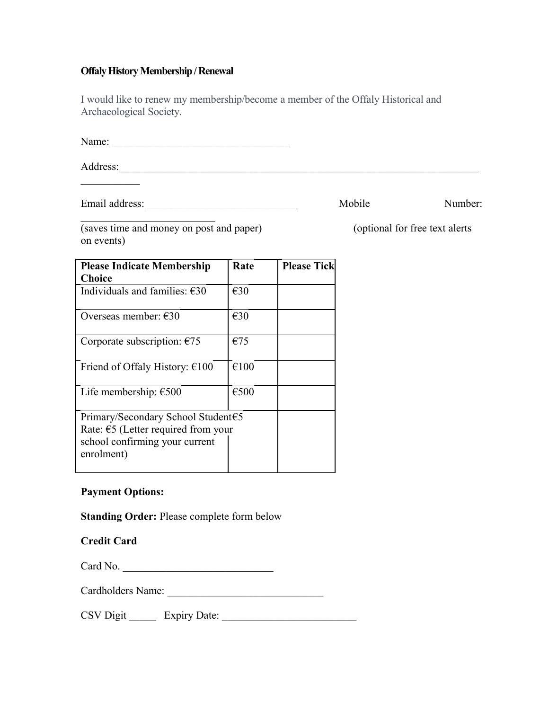### **Offaly History Membership / Renewal**

I would like to renew my membership/become a member of the Offaly Historical and Archaeological Society.

Name: \_\_\_\_\_\_\_\_\_\_\_\_\_\_\_\_\_\_\_\_\_\_\_\_\_\_\_\_\_\_\_\_\_

Address:

Email address: \_\_\_\_\_\_\_\_\_\_\_\_\_\_\_\_\_\_\_\_\_\_\_\_\_\_\_\_ Mobile Number:

(saves time and money on post and paper) (optional for free text alerts on events)

 $\mathcal{L}_\text{max}$  , where  $\mathcal{L}_\text{max}$  and  $\mathcal{L}_\text{max}$ 

| <b>Please Indicate Membership</b><br><b>Choice</b>                                                                                  | Rate          | <b>Please Tick</b> |
|-------------------------------------------------------------------------------------------------------------------------------------|---------------|--------------------|
| Individuals and families: $\epsilon$ 30                                                                                             | €30           |                    |
| Overseas member: $€30$                                                                                                              | $\epsilon$ 30 |                    |
| Corporate subscription: $€75$                                                                                                       | €75           |                    |
| Friend of Offaly History: $€100$                                                                                                    | €100          |                    |
| Life membership: $€500$                                                                                                             | €500          |                    |
| Primary/Secondary School Student€5<br>Rate: $\epsilon$ 5 (Letter required from your<br>school confirming your current<br>enrolment) |               |                    |

# **Payment Options:**

**Standing Order:** Please complete form below

### **Credit Card**

Card No. \_\_\_\_\_\_\_\_\_\_\_\_\_\_\_\_\_\_\_\_\_\_\_\_\_\_\_\_

Cardholders Name: \_\_\_\_\_\_\_\_\_\_\_\_\_\_\_\_\_\_\_\_\_\_\_\_\_\_\_\_\_

CSV Digit \_\_\_\_\_ Expiry Date: \_\_\_\_\_\_\_\_\_\_\_\_\_\_\_\_\_\_\_\_\_\_\_\_\_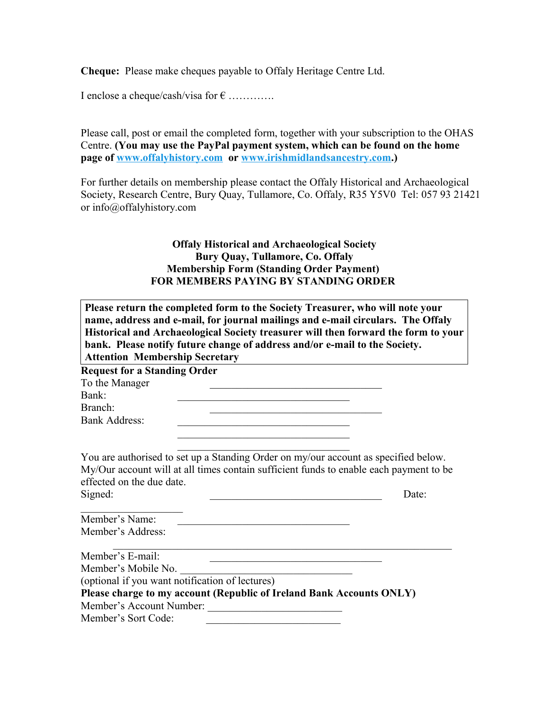**Cheque:** Please make cheques payable to Offaly Heritage Centre Ltd.

I enclose a cheque/cash/visa for  $\epsilon$  ............

Please call, post or email the completed form, together with your subscription to the OHAS Centre. **(You may use the PayPal payment system, which can be found on the home page of [www.offalyhistory.com](http://www.offalyhistory.com/) or [www.irishmidlandsancestry.com.](http://www.irishmidlandsancestry.com/))**

For further details on membership please contact the Offaly Historical and Archaeological Society, Research Centre, Bury Quay, Tullamore, Co. Offaly, R35 Y5V0 Tel: 057 93 21421 or info@offalyhistory.com

# **Offaly Historical and Archaeological Society Bury Quay, Tullamore, Co. Offaly Membership Form (Standing Order Payment) FOR MEMBERS PAYING BY STANDING ORDER**

| Please return the completed form to the Society Treasurer, who will note your<br>name, address and e-mail, for journal mailings and e-mail circulars. The Offaly                                                      |       |  |
|-----------------------------------------------------------------------------------------------------------------------------------------------------------------------------------------------------------------------|-------|--|
| Historical and Archaeological Society treasurer will then forward the form to your<br>bank. Please notify future change of address and/or e-mail to the Society.<br><b>Attention Membership Secretary</b>             |       |  |
| <b>Request for a Standing Order</b>                                                                                                                                                                                   |       |  |
| To the Manager                                                                                                                                                                                                        |       |  |
| Bank:                                                                                                                                                                                                                 |       |  |
| Branch:                                                                                                                                                                                                               |       |  |
| <b>Bank Address:</b><br>the control of the control of the control of the control of the control of the control of                                                                                                     |       |  |
| the control of the control of the control of the control of the control of                                                                                                                                            |       |  |
| You are authorised to set up a Standing Order on my/our account as specified below.<br>My/Our account will at all times contain sufficient funds to enable each payment to be<br>effected on the due date.<br>Signed: | Date: |  |
| Member's Name:                                                                                                                                                                                                        |       |  |
| Member's Address:                                                                                                                                                                                                     |       |  |
| Member's E-mail:                                                                                                                                                                                                      |       |  |
| Member's Mobile No.                                                                                                                                                                                                   |       |  |
| (optional if you want notification of lectures)                                                                                                                                                                       |       |  |
| Please charge to my account (Republic of Ireland Bank Accounts ONLY)                                                                                                                                                  |       |  |
| Member's Account Number:                                                                                                                                                                                              |       |  |
| Member's Sort Code:                                                                                                                                                                                                   |       |  |
|                                                                                                                                                                                                                       |       |  |